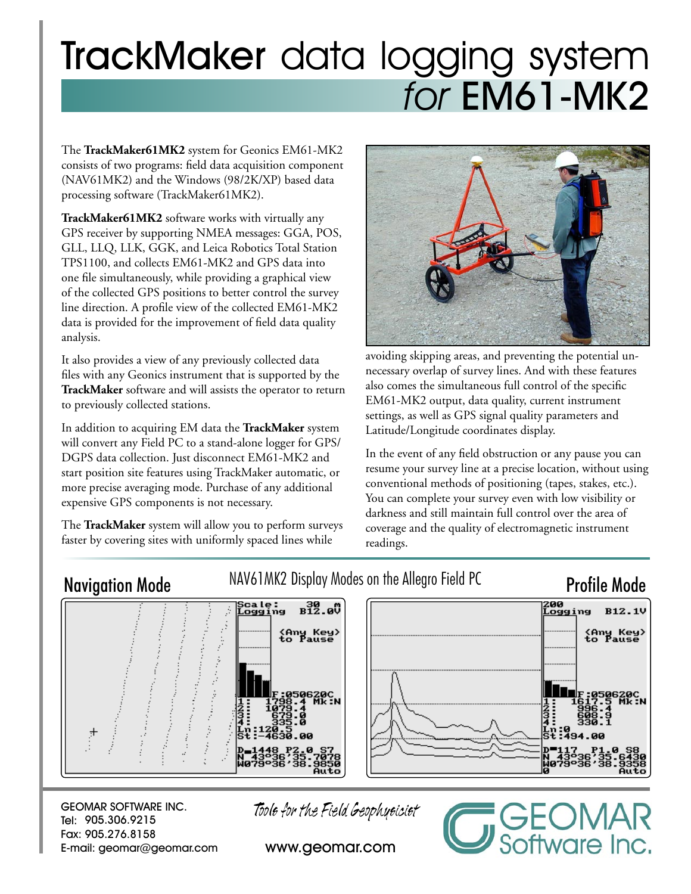# TrackMaker data logging system for EM61-MK2

The **TrackMaker61MK2** system for Geonics EM61-MK2 consists of two programs: field data acquisition component (NAV61MK2) and the Windows (98/2K/XP) based data processing software (TrackMaker61MK2).

**TrackMaker61MK2** software works with virtually any GPS receiver by supporting NMEA messages: GGA, POS, GLL, LLQ, LLK, GGK, and Leica Robotics Total Station TPS1100, and collects EM61-MK2 and GPS data into one file simultaneously, while providing a graphical view of the collected GPS positions to better control the survey line direction. A profile view of the collected EM61-MK2 data is provided for the improvement of field data quality analysis.

It also provides a view of any previously collected data files with any Geonics instrument that is supported by the **TrackMaker** software and will assists the operator to return to previously collected stations.

In addition to acquiring EM data the **TrackMaker** system will convert any Field PC to a stand-alone logger for GPS/ DGPS data collection. Just disconnect EM61-MK2 and start position site features using TrackMaker automatic, or more precise averaging mode. Purchase of any additional expensive GPS components is not necessary.

The **TrackMaker** system will allow you to perform surveys faster by covering sites with uniformly spaced lines while



avoiding skipping areas, and preventing the potential unnecessary overlap of survey lines. And with these features also comes the simultaneous full control of the specific EM61-MK2 output, data quality, current instrument settings, as well as GPS signal quality parameters and Latitude/Longitude coordinates display.

In the event of any field obstruction or any pause you can resume your survey line at a precise location, without using conventional methods of positioning (tapes, stakes, etc.). You can complete your survey even with low visibility or darkness and still maintain full control over the area of coverage and the quality of electromagnetic instrument readings.

oftware Inc.

# Navigation Mode MAV61MK2 Display Modes on the Allegro Field PC Profile Mode 200  $B^{30}_{12}$ .  $B^{0}$ ;cale:<br>Logging **B12.1V** .<br>ogging <Any Key><br>to Pause <Any Key><br>to Pause F:050620C<br>617.5 Mk:N 050620С<br>В.4 МК:N

GEOMAR SOFTWARE INC. Tel: 905.306.9215 Fax: 905.276.8158 E-mail: geomar@geomar.com Tools for the Field Geophysicist

www.geomar.com